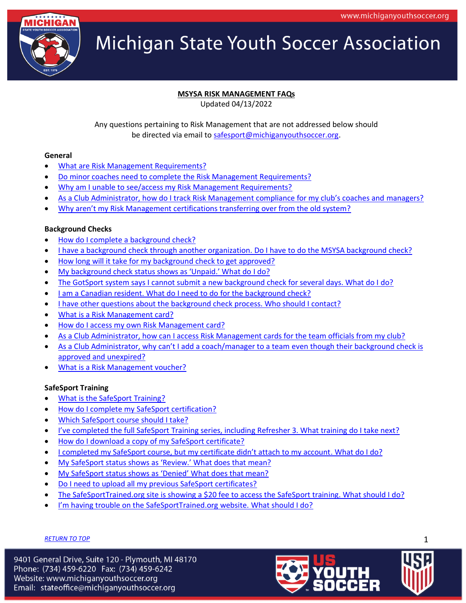

# **MSYSA RISK MANAGEMENT FAQs**

Updated 04/13/2022

Any questions pertaining to Risk Management that are not addressed below should be directed via email to [safesport@michiganyouthsoccer.org.](mailto:safesport@michiganyouthsoccer.org)

#### <span id="page-0-0"></span>**General**

- [What are Risk Management Requirements?](#page-1-0)
- Do minor coaches [need to complete the Risk Management Requirements?](#page-1-1)
- [Why am I unable to see/access my Risk Management Requirements?](#page-1-2)
- [As a Club Administrator, how do I track Risk Management compliance for my club's coaches and](#page-2-0) managers?
- [Why aren't my Risk Management certifications transferring over from the old system?](#page-2-1)

#### **Background Checks**

- [How do I complete a background check?](#page-2-2)
- [I have a background check through another organization. Do I have to do the MSYSA background check?](#page-3-0)
- [How long will it take for my background check to get approved?](#page-3-1)
- [My background check status shows as 'Unpaid.' What do I do?](#page-3-2)
- [The GotSport system says I cannot submit a new background check for several days. What do I do?](#page-3-3)
- I am a Canadian resident. What do I need to do for the background check?
- [I have other questions about the background check process. Who should I contact?](#page-4-0)
- [What is a Risk Management card?](#page-4-1)
- [How do I access my own Risk Management card?](#page-4-2)
- [As a Club Administrator, how can I access Risk Management cards for the team officials from my club?](#page-4-3)
- [As a Club Administrator, why can't I add a coach/manager to a team](#page-4-4) even though their background check is [approved and unexpired?](#page-4-4)
- [What is a Risk Management voucher?](#page-4-5)

#### **SafeSport Training**

- [What is the SafeSport Training?](#page-5-0)
- [How do I complete my SafeSport certification?](#page-5-1)
- [Which SafeSport course should I take?](#page-5-2)
- [I've completed the full SafeSport Training series, including Refresher 3. What training do I take next?](#page-5-3)
- [How do I download a copy of my SafeSport certificate?](#page-5-4)
- [I completed my SafeSport course, but my certificate didn't attach to my account](#page-6-0). What do I do?
- [My SafeSport status shows as 'Review.' What does that mean?](#page-6-1)
- [My SafeSport status shows as 'Denied' What does that mean?](#page-6-2)
- [Do I need to upload all my previous SafeSport certificates?](#page-6-3)
- [The SafeSportTrained.org site is showing a \\$20 fee to access the SafeSport training. What should I do?](#page-6-4)
- [I'm having trouble on the SafeSportTrained.org website. What should I do?](#page-7-0)

# *[RETURN TO TOP](#page-0-0)* 1

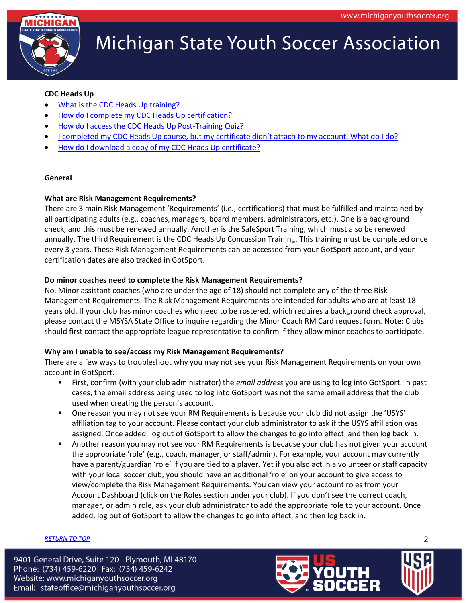

# **CDC Heads Up**

- [What is the CDC Heads Up training?](#page-7-1)
- [How do I complete my CDC Heads Up certification?](#page-7-2)
- [How do I access the CDC Heads Up Post-Training Quiz?](#page-7-3)
- [I completed my CDC Heads Up course, but my certificate didn't attach to my account. What do I do?](#page-7-4)
- [How do I download a copy of my CDC Heads Up certificate?](#page-7-5)

# **General**

## <span id="page-1-0"></span>**What are Risk Management Requirements?**

There are 3 main Risk Management 'Requirements' (i.e., certifications) that must be fulfilled and maintained by all participating adults (e.g., coaches, managers, board members, administrators, etc.). One is a background check, and this must be renewed annually. Another is the SafeSport Training, which must also be renewed annually. The third Requirement is the CDC Heads Up Concussion Training. This training must be completed once every 3 years. These Risk Management Requirements can be accessed from your GotSport account, and your certification dates are also tracked in GotSport.

# <span id="page-1-1"></span>**Do minor coaches need to complete the Risk Management Requirements?**

No. Minor assistant coaches (who are under the age of 18) should not complete any of the three Risk Management Requirements. The Risk Management Requirements are intended for adults who are at least 18 years old. If your club has minor coaches who need to be rostered, which requires a background check approval, please contact the MSYSA State Office to inquire regarding the Minor Coach RM Card request form. Note: Clubs should first contact the appropriate league representative to confirm if they allow minor coaches to participate.

# **Why am I unable to see/access my Risk Management Requirements?**

There are a few ways to troubleshoot why you may not see your Risk Management Requirements on your own account in GotSport.

- First, confirm (with your club administrator) the *email address* you are using to log into GotSport. In past cases, the email address being used to log into GotSport was not the same email address that the club used when creating the person's account.
- One reason you may not see your RM Requirements is because your club did not assign the 'USYS' affiliation tag to your account. Please contact your club administrator to ask if the USYS affiliation was assigned. Once added, log out of GotSport to allow the changes to go into effect, and then log back in.
- **EXT** Another reason you may not see your RM Requirements is because your club has not given your account the appropriate 'role' (e.g., coach, manager, or staff/admin). For example, your account may currently have a parent/guardian 'role' if you are tied to a player. Yet if you also act in a volunteer or staff capacity with your local soccer club, you should have an additional 'role' on your account to give access to view/complete the Risk Management Requirements. You can view your account roles from your Account Dashboard (click on the Roles section under your club). If you don't see the correct coach, manager, or admin role, ask your club administrator to add the appropriate role to your account. Once added, log out of GotSport to allow the changes to go into effect, and then log back in.

# *[RETURN TO TOP](#page-0-0)* 2

<span id="page-1-2"></span>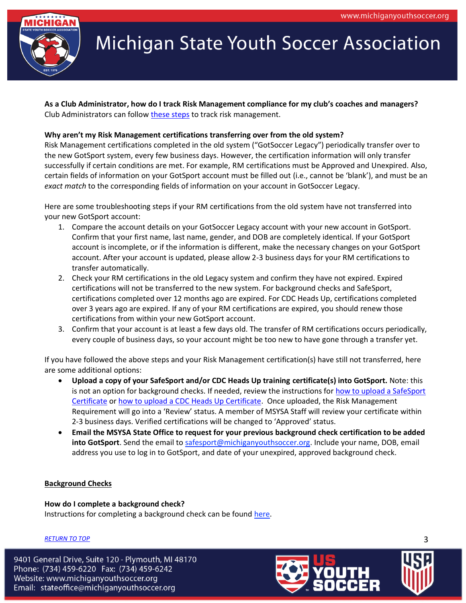

<span id="page-2-0"></span>**As a Club Administrator, how do I track Risk Management compliance for my club's coaches and managers?** Club Administrators can follow [these steps](https://www.michiganyouthsoccer.org/Assets/Michigan+Youth+Soccer1+Digital+Assets/RM/RM+Tracking+for+Club+Admins.pdf) to track risk management.

#### <span id="page-2-1"></span>**Why aren't my Risk Management certifications transferring over from the old system?**

Risk Management certifications completed in the old system ("GotSoccer Legacy") periodically transfer over to the new GotSport system, every few business days. However, the certification information will only transfer successfully if certain conditions are met. For example, RM certifications must be Approved and Unexpired. Also, certain fields of information on your GotSport account must be filled out (i.e., cannot be 'blank'), and must be an *exact match* to the corresponding fields of information on your account in GotSoccer Legacy.

Here are some troubleshooting steps if your RM certifications from the old system have not transferred into your new GotSport account:

- 1. Compare the account details on your GotSoccer Legacy account with your new account in GotSport. Confirm that your first name, last name, gender, and DOB are completely identical. If your GotSport account is incomplete, or if the information is different, make the necessary changes on your GotSport account. After your account is updated, please allow 2-3 business days for your RM certifications to transfer automatically.
- 2. Check your RM certifications in the old Legacy system and confirm they have not expired. Expired certifications will not be transferred to the new system. For background checks and SafeSport, certifications completed over 12 months ago are expired. For CDC Heads Up, certifications completed over 3 years ago are expired. If any of your RM certifications are expired, you should renew those certifications from within your new GotSport account.
- 3. Confirm that your account is at least a few days old. The transfer of RM certifications occurs periodically, every couple of business days, so your account might be too new to have gone through a transfer yet.

If you have followed the above steps and your Risk Management certification(s) have still not transferred, here are some additional options:

- **Upload a copy of your SafeSport and/or CDC Heads Up training certificate(s) into GotSport.** Note: this is not an option for background checks. If needed, review the instructions for [how to upload a SafeSport](https://www.michiganyouthsoccer.org/Assets/Michigan+Youth+Soccer1+Digital+Assets/RM/How+to+upload+a+SafeSport+Certificate.pdf)  [Certificate](https://www.michiganyouthsoccer.org/Assets/Michigan+Youth+Soccer1+Digital+Assets/RM/How+to+upload+a+SafeSport+Certificate.pdf) o[r how to upload a CDC Heads Up Certificate.](https://www.michiganyouthsoccer.org/Assets/Michigan+Youth+Soccer1+Digital+Assets/RM/How+to+upload+a+CDC+Heads+Up+Certificate.pdf) Once uploaded, the Risk Management Requirement will go into a 'Review' status. A member of MSYSA Staff will review your certificate within 2-3 business days. Verified certifications will be changed to 'Approved' status.
- **Email the MSYSA State Office to request for your previous background check certification to be added into GotSport**. Send the email to [safesport@michiganyouthsoccer.org.](mailto:safesport@michiganyouthsoccer.org) Include your name, DOB, email address you use to log in to GotSport, and date of your unexpired, approved background check.

#### **Background Checks**

**How do I complete a background check?** Instructions for completing a background check can be found [here.](https://www.michiganyouthsoccer.org/Assets/Michigan+Youth+Soccer1+Digital+Assets/RM/Background+Check+Instructions.pdf)

# *[RETURN TO TOP](#page-0-0)* 3

<span id="page-2-2"></span>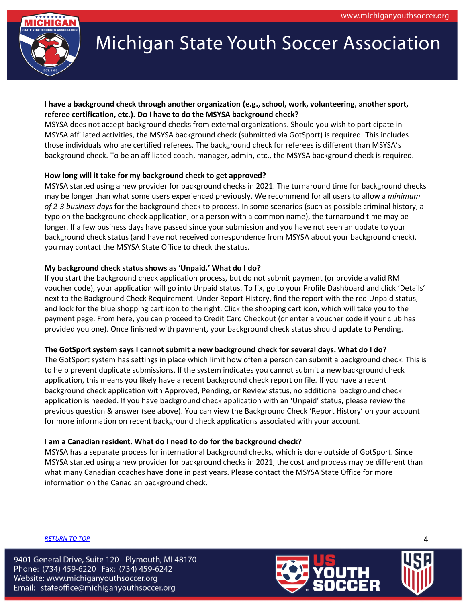

# <span id="page-3-0"></span>**I have a background check through another organization (e.g., school, work, volunteering, another sport, referee certification, etc.). Do I have to do the MSYSA background check?**

MSYSA does not accept background checks from external organizations. Should you wish to participate in MSYSA affiliated activities, the MSYSA background check (submitted via GotSport) is required. This includes those individuals who are certified referees. The background check for referees is different than MSYSA's background check. To be an affiliated coach, manager, admin, etc., the MSYSA background check is required.

# <span id="page-3-1"></span>**How long will it take for my background check to get approved?**

MSYSA started using a new provider for background checks in 2021. The turnaround time for background checks may be longer than what some users experienced previously. We recommend for all users to allow a *minimum of 2-3 business days* for the background check to process. In some scenarios (such as possible criminal history, a typo on the background check application, or a person with a common name), the turnaround time may be longer. If a few business days have passed since your submission and you have not seen an update to your background check status (and have not received correspondence from MSYSA about your background check), you may contact the MSYSA State Office to check the status.

# <span id="page-3-2"></span>**My background check status shows as 'Unpaid.' What do I do?**

If you start the background check application process, but do not submit payment (or provide a valid RM voucher code), your application will go into Unpaid status. To fix, go to your Profile Dashboard and click 'Details' next to the Background Check Requirement. Under Report History, find the report with the red Unpaid status, and look for the blue shopping cart icon to the right. Click the shopping cart icon, which will take you to the payment page. From here, you can proceed to Credit Card Checkout (or enter a voucher code if your club has provided you one). Once finished with payment, your background check status should update to Pending.

# **The GotSport system says I cannot submit a new background check for several days. What do I do?**

The GotSport system has settings in place which limit how often a person can submit a background check. This is to help prevent duplicate submissions. If the system indicates you cannot submit a new background check application, this means you likely have a recent background check report on file. If you have a recent background check application with Approved, Pending, or Review status, no additional background check application is needed. If you have background check application with an 'Unpaid' status, please review the previous question & answer (see above). You can view the Background Check 'Report History' on your account for more information on recent background check applications associated with your account.

# **I am a Canadian resident. What do I need to do for the background check?**

MSYSA has a separate process for international background checks, which is done outside of GotSport. Since MSYSA started using a new provider for background checks in 2021, the cost and process may be different than what many Canadian coaches have done in past years. Please contact the MSYSA State Office for more information on the Canadian background check.

*[RETURN TO TOP](#page-0-0)* 4

<span id="page-3-4"></span><span id="page-3-3"></span>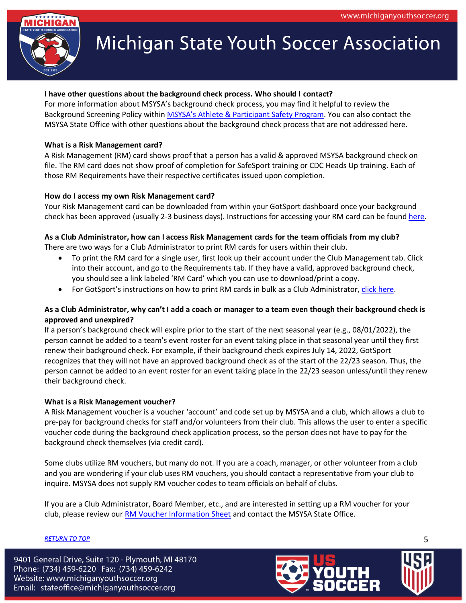

# <span id="page-4-0"></span>**I have other questions about the background check process. Who should I contact?**

For more information about MSYSA's background check process, you may find it helpful to review the Background Screening Policy within [MSYSA's Athlete & Participant Safety Program](https://www.michiganyouthsoccer.org/Assets/Michigan+Youth+Soccer1+Digital+Assets/Athlete+and+Participant+Safety+Program1.pdf). You can also contact the MSYSA State Office with other questions about the background check process that are not addressed here.

#### <span id="page-4-1"></span>**What is a Risk Management card?**

A Risk Management (RM) card shows proof that a person has a valid & approved MSYSA background check on file. The RM card does not show proof of completion for SafeSport training or CDC Heads Up training. Each of those RM Requirements have their respective certificates issued upon completion.

#### **How do I access my own Risk Management card?**

Your Risk Management card can be downloaded from within your GotSport dashboard once your background check has been approved (usually 2-3 business days). Instructions for accessing your RM card can be found [here.](https://www.michiganyouthsoccer.org/Assets/Michigan+Youth+Soccer1+Digital+Assets/RM/RM+Card+Instructions.pdf)

## **As a Club Administrator, how can I access Risk Management cards for the team officials from my club?**

There are two ways for a Club Administrator to print RM cards for users within their club.

- <span id="page-4-2"></span>• To print the RM card for a single user, first look up their account under the Club Management tab. Click into their account, and go to the Requirements tab. If they have a valid, approved background check, you should see a link labeled 'RM Card' which you can use to download/print a copy.
- <span id="page-4-4"></span>• For GotSport's instructions on how to print RM cards in bulk as a Club Administrator, [click here.](https://gotsport.zendesk.com/hc/en-us/articles/4409371706135-How-to-Print-Coach-s-Risk-Management-Cards-as-a-Club-Admin?auth_token=eyJ0eXAiOiJKV1QiLCJhbGciOiJIUzI1NiJ9.eyJhY2NvdW50X2lkIjoxMzA3MDg2LCJ1c2VyX2lkIjpudWxsLCJ0aWNrZXRfaWQiOm51bGwsImRlZmxlY3Rpb25faWQiOjE1MDA0MTc0MzMyNjIsImFydGljbGVzIjpbNDQwOTM3MTcwNjEzNSw0NDA1NzEwNTM3NzUxLDQ0MDU5NTczNTEwNjNdLCJ0b2tlbiI6bnVsbCwiZXhwIjoxNjQ4MDcyOTYxfQ.lAAl5jo74OMEr2VjT9S_nlplLy6wq5zWKXquojnlhcM)

## **As a Club Administrator, why can't I add a coach or manager to a team even though their background check is approved and unexpired?**

If a person's background check will expire prior to the start of the next seasonal year (e.g., 08/01/2022), the person cannot be added to a team's event roster for an event taking place in that seasonal year until they first renew their background check. For example, if their background check expires July 14, 2022, GotSport recognizes that they will not have an approved background check as of the start of the 22/23 season. Thus, the person cannot be added to an event roster for an event taking place in the 22/23 season unless/until they renew their background check.

#### <span id="page-4-5"></span>**What is a Risk Management voucher?**

A Risk Management voucher is a voucher 'account' and code set up by MSYSA and a club, which allows a club to pre-pay for background checks for staff and/or volunteers from their club. This allows the user to enter a specific voucher code during the background check application process, so the person does not have to pay for the background check themselves (via credit card).

Some clubs utilize RM vouchers, but many do not. If you are a coach, manager, or other volunteer from a club and you are wondering if your club uses RM vouchers, you should contact a representative from your club to inquire. MSYSA does not supply RM voucher codes to team officials on behalf of clubs.

If you are a Club Administrator, Board Member, etc., and are interested in setting up a RM voucher for your club, please review our [RM Voucher Information Sheet](https://www.michiganyouthsoccer.org/Assets/Michigan+Youth+Soccer1+Digital+Assets/RM/RM+Voucher+Info+Sheet.pdf) and contact the MSYSA State Office.

# *[RETURN TO TOP](#page-0-0)* 5



<span id="page-4-3"></span>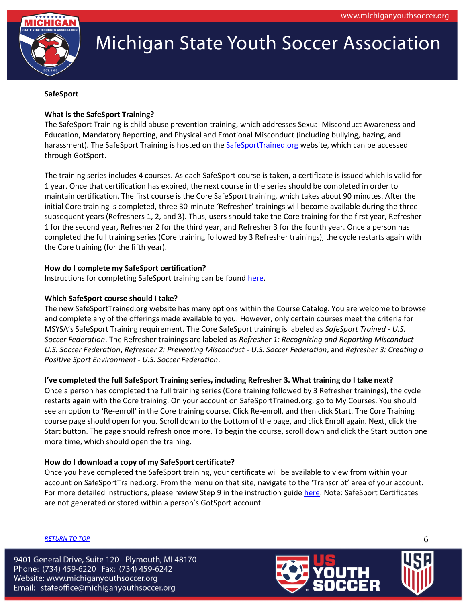

# **SafeSport**

# <span id="page-5-0"></span>**What is the SafeSport Training?**

The SafeSport Training is child abuse prevention training, which addresses Sexual Misconduct Awareness and Education, Mandatory Reporting, and Physical and Emotional Misconduct (including bullying, hazing, and harassment). The SafeSport Training is hosted on the [SafeSportTrained.org](https://safesporttrained.org/) website, which can be accessed through GotSport.

The training series includes 4 courses. As each SafeSport course is taken, a certificate is issued which is valid for 1 year. Once that certification has expired, the next course in the series should be completed in order to maintain certification. The first course is the Core SafeSport training, which takes about 90 minutes. After the initial Core training is completed, three 30-minute 'Refresher' trainings will become available during the three subsequent years (Refreshers 1, 2, and 3). Thus, users should take the Core training for the first year, Refresher 1 for the second year, Refresher 2 for the third year, and Refresher 3 for the fourth year. Once a person has completed the full training series (Core training followed by 3 Refresher trainings), the cycle restarts again with the Core training (for the fifth year).

## <span id="page-5-1"></span>**How do I complete my SafeSport certification?**

Instructions for completing SafeSport training can be found [here.](https://www.michiganyouthsoccer.org/Assets/Michigan+Youth+Soccer1+Digital+Assets/RM/SafeSport+Instructions.pdf)

# <span id="page-5-2"></span>**Which SafeSport course should I take?**

The new SafeSportTrained.org website has many options within the Course Catalog. You are welcome to browse and complete any of the offerings made available to you. However, only certain courses meet the criteria for MSYSA's SafeSport Training requirement. The Core SafeSport training is labeled as *SafeSport Trained - U.S. Soccer Federation*. The Refresher trainings are labeled as *Refresher 1: Recognizing and Reporting Misconduct - U.S. Soccer Federation*, *Refresher 2: Preventing Misconduct - U.S. Soccer Federation*, and *Refresher 3: Creating a Positive Sport Environment - U.S. Soccer Federation*.

# **I've completed the full SafeSport Training series, including Refresher 3. What training do I take next?**

Once a person has completed the full training series (Core training followed by 3 Refresher trainings), the cycle restarts again with the Core training. On your account on SafeSportTrained.org, go to My Courses. You should see an option to 'Re-enroll' in the Core training course. Click Re-enroll, and then click Start. The Core Training course page should open for you. Scroll down to the bottom of the page, and click Enroll again. Next, click the Start button. The page should refresh once more. To begin the course, scroll down and click the Start button one more time, which should open the training.

#### **How do I download a copy of my SafeSport certificate?**

Once you have completed the SafeSport training, your certificate will be available to view from within your account on SafeSportTrained.org. From the menu on that site, navigate to the 'Transcript' area of your account. For more detailed instructions, please review Step 9 in the instruction guid[e here.](https://www.michiganyouthsoccer.org/Assets/Michigan+Youth+Soccer1+Digital+Assets/RM/SafeSport+Instructions.pdf) Note: SafeSport Certificates are not generated or stored within a person's GotSport account.

# *[RETURN TO TOP](#page-0-0)* 6

<span id="page-5-4"></span><span id="page-5-3"></span>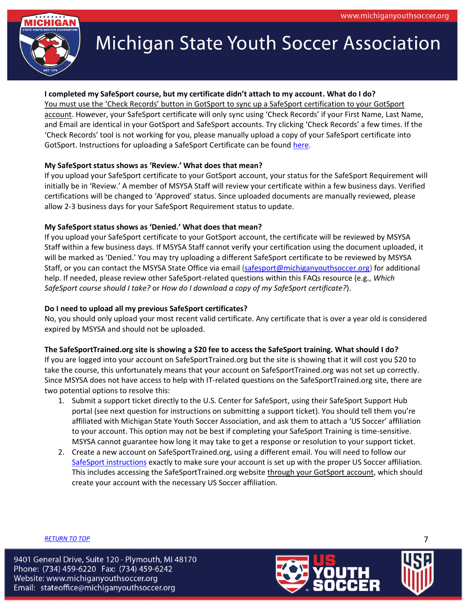

## <span id="page-6-0"></span>**I completed my SafeSport course, but my certificate didn't attach to my account. What do I do?**

You must use the 'Check Records' button in GotSport to sync up a SafeSport certification to your GotSport account. However, your SafeSport certificate will only sync using 'Check Records' if your First Name, Last Name, and Email are identical in your GotSport and SafeSport accounts. Try clicking 'Check Records' a few times. If the 'Check Records' tool is not working for you, please manually upload a copy of your SafeSport certificate into GotSport. Instructions for uploading a SafeSport Certificate can be found [here.](https://www.michiganyouthsoccer.org/Assets/Michigan+Youth+Soccer1+Digital+Assets/RM/How+to+upload+a+SafeSport+Certificate.pdf)

## <span id="page-6-1"></span>**My SafeSport status shows as 'Review.' What does that mean?**

If you upload your SafeSport certificate to your GotSport account, your status for the SafeSport Requirement will initially be in 'Review.' A member of MSYSA Staff will review your certificate within a few business days. Verified certifications will be changed to 'Approved' status. Since uploaded documents are manually reviewed, please allow 2-3 business days for your SafeSport Requirement status to update.

## <span id="page-6-2"></span>**My SafeSport status shows as 'Denied.' What does that mean?**

If you upload your SafeSport certificate to your GotSport account, the certificate will be reviewed by MSYSA Staff within a few business days. If MSYSA Staff cannot verify your certification using the document uploaded, it will be marked as 'Denied.' You may try uploading a different SafeSport certificate to be reviewed by MSYSA Staff, or you can contact the MSYSA State Office via email [\(safesport@michiganyouthsoccer.org\)](mailto:safesport@michiganyouthsoccer.org) for additional help. If needed, please review other SafeSport-related questions within this FAQs resource (e.g., *Which SafeSport course should I take?* or *How do I download a copy of my SafeSport certificate?*).

# <span id="page-6-3"></span>**Do I need to upload all my previous SafeSport certificates?**

No, you should only upload your most recent valid certificate. Any certificate that is over a year old is considered expired by MSYSA and should not be uploaded.

#### **The SafeSportTrained.org site is showing a \$20 fee to access the SafeSport training. What should I do?**

If you are logged into your account on SafeSportTrained.org but the site is showing that it will cost you \$20 to take the course, this unfortunately means that your account on SafeSportTrained.org was not set up correctly. Since MSYSA does not have access to help with IT-related questions on the SafeSportTrained.org site, there are two potential options to resolve this:

- 1. Submit a support ticket directly to the U.S. Center for SafeSport, using their SafeSport Support Hub portal (see next question for instructions on submitting a support ticket). You should tell them you're affiliated with Michigan State Youth Soccer Association, and ask them to attach a 'US Soccer' affiliation to your account. This option may not be best if completing your SafeSport Training is time-sensitive. MSYSA cannot guarantee how long it may take to get a response or resolution to your support ticket.
- 2. Create a new account on SafeSportTrained.org, using a different email. You will need to follow our [SafeSport instructions](https://www.michiganyouthsoccer.org/Assets/Michigan+Youth+Soccer1+Digital+Assets/RM/SafeSport+Instructions.pdf) exactly to make sure your account is set up with the proper US Soccer affiliation. This includes accessing the SafeSportTrained.org website through your GotSport account, which should create your account with the necessary US Soccer affiliation.

<span id="page-6-4"></span>

*[RETURN TO TOP](#page-0-0)* 7